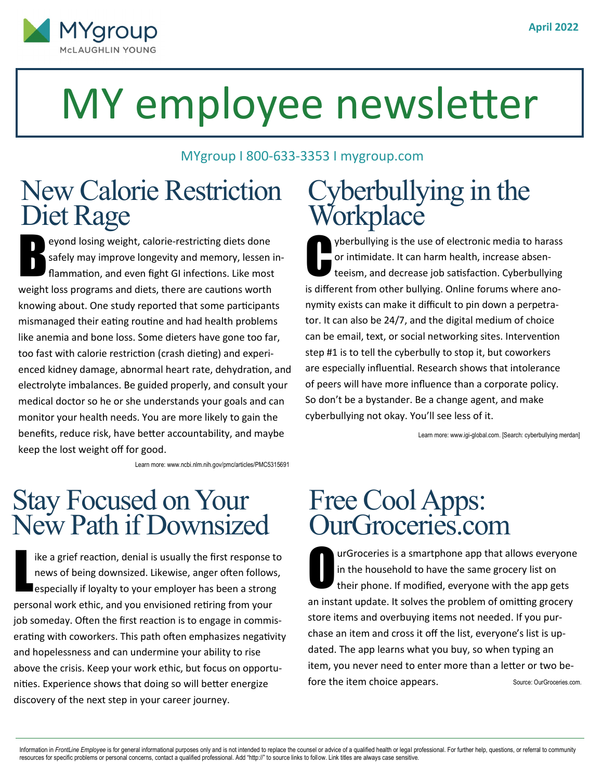

# MY employee newsletter

#### MYgroup I 800-633-3353 I mygroup.com

#### New Calorie Restriction Diet Rage

B eyond losing weight, calorie-restricting diets done safely may improve longevity and memory, lessen inflammation, and even fight GI infections. Like most weight loss programs and diets, there are cautions worth knowing about. One study reported that some participants mismanaged their eating routine and had health problems like anemia and bone loss. Some dieters have gone too far, too fast with calorie restriction (crash dieting) and experienced kidney damage, abnormal heart rate, dehydration, and electrolyte imbalances. Be guided properly, and consult your medical doctor so he or she understands your goals and can monitor your health needs. You are more likely to gain the benefits, reduce risk, have better accountability, and maybe keep the lost weight off for good.

Learn more: www.ncbi.nlm.nih.gov/pmc/articles/PMC5315691

#### Stay Focused on Your New Path if Downsized

L ike a grief reaction, denial is usually the first response to news of being downsized. Likewise, anger often follows, especially if loyalty to your employer has been a strong personal work ethic, and you envisioned retiring from your job someday. Often the first reaction is to engage in commiserating with coworkers. This path often emphasizes negativity and hopelessness and can undermine your ability to rise above the crisis. Keep your work ethic, but focus on opportunities. Experience shows that doing so will better energize discovery of the next step in your career journey.

### Cyberbullying in the **Workplace**

**C** yberbullying is the use of electronic media to harass or intimidate. It can harm health, increase absenteeism, and decrease job satisfaction. Cyberbullying is different from other bullying. Online forums where anonymity exists can make it difficult to pin down a perpetrator. It can also be 24/7, and the digital medium of choice can be email, text, or social networking sites. Intervention step #1 is to tell the cyberbully to stop it, but coworkers are especially influential. Research shows that intolerance of peers will have more influence than a corporate policy. So don't be a bystander. Be a change agent, and make cyberbullying not okay. You'll see less of it.

Learn more: www.igi-global.com. [Search: cyberbullying merdan]

# Free Cool Apps: OurGroceries.com

O urGroceries is a smartphone app that allows everyone in the household to have the same grocery list on their phone. If modified, everyone with the app gets an instant update. It solves the problem of omitting grocery store items and overbuying items not needed. If you purchase an item and cross it off the list, everyone's list is updated. The app learns what you buy, so when typing an item, you never need to enter more than a letter or two before the item choice appears. Source: OurGroceries.com.

Information in FrontLine Employee is for general informational purposes only and is not intended to replace the counsel or advice of a qualified health or legal professional. For further help, questions, or referral to com resources for specific problems or personal concerns, contact a qualified professional. Add "http://" to source links to follow. Link titles are always case sensitive.